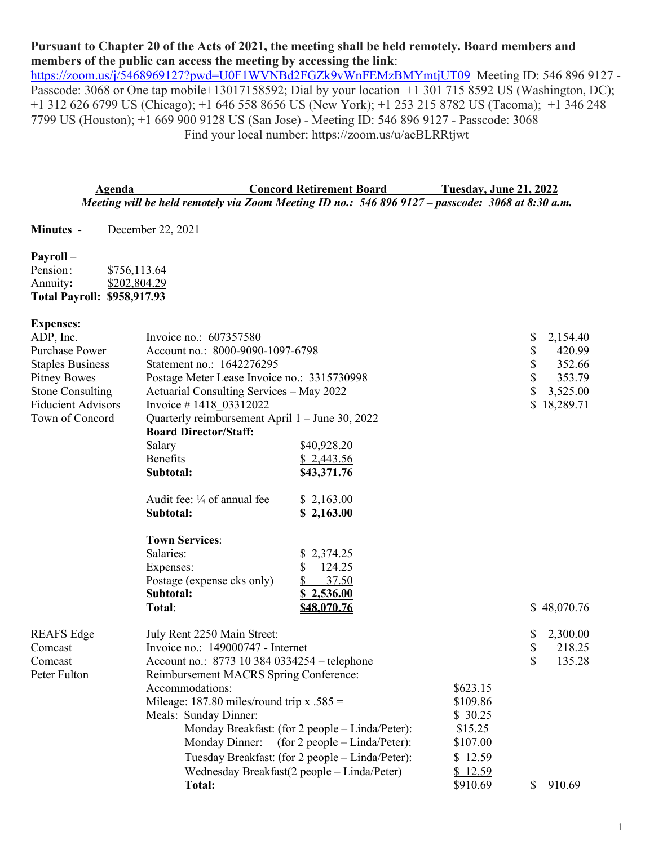# **Pursuant to Chapter 20 of the Acts of 2021, the meeting shall be held remotely. Board members and members of the public can access the meeting by accessing the link**:

<https://zoom.us/j/5468969127?pwd=U0F1WVNBd2FGZk9vWnFEMzBMYmtjUT09>Meeting ID: 546 896 9127 -Passcode: 3068 or One tap mobile+13017158592; Dial by your location +1 301 715 8592 US (Washington, DC); +1 312 626 6799 US (Chicago); +1 646 558 8656 US (New York); +1 253 215 8782 US (Tacoma); +1 346 248 7799 US (Houston); +1 669 900 9128 US (San Jose) - Meeting ID: 546 896 9127 - Passcode: 3068 Find your local number: https://zoom.us/u/aeBLRRtjwt

**Agenda Concord Retirement Board Tuesday, June 21, 2022** *Meeting will be held remotely via Zoom Meeting ID no.: 546 896 9127 – passcode: 3068 at 8:30 a.m.*

**Minutes** - December 22, 2021

### **Payroll** –

| <b>Total Payroll: \$958,917.93</b> |              |
|------------------------------------|--------------|
| Annuity:                           | \$202,804.29 |
| Pension:                           | \$756,113.64 |

### **Expenses:**

| ADP, Inc.                 | Invoice no.: 607357580                                     |                                                  |          | \$ | 2,154.40    |
|---------------------------|------------------------------------------------------------|--------------------------------------------------|----------|----|-------------|
| Purchase Power            | Account no.: 8000-9090-1097-6798                           |                                                  |          | \$ | 420.99      |
| <b>Staples Business</b>   | Statement no.: 1642276295                                  |                                                  |          |    | 352.66      |
| <b>Pitney Bowes</b>       |                                                            | Postage Meter Lease Invoice no.: 3315730998      |          |    | 353.79      |
| <b>Stone Consulting</b>   | Actuarial Consulting Services – May 2022                   |                                                  |          | \$ | 3,525.00    |
| <b>Fiducient Advisors</b> | Invoice #1418 03312022                                     |                                                  |          | \$ | 18,289.71   |
| Town of Concord           | Quarterly reimbursement April 1 - June 30, 2022            |                                                  |          |    |             |
|                           | <b>Board Director/Staff:</b>                               |                                                  |          |    |             |
|                           | Salary                                                     | \$40,928.20                                      |          |    |             |
|                           | <b>Benefits</b>                                            | \$2,443.56                                       |          |    |             |
|                           | Subtotal:                                                  | \$43,371.76                                      |          |    |             |
|                           | Audit fee: $\frac{1}{4}$ of annual fee                     | \$2,163.00                                       |          |    |             |
|                           | Subtotal:                                                  | \$2,163.00                                       |          |    |             |
|                           | <b>Town Services:</b>                                      |                                                  |          |    |             |
|                           | Salaries:                                                  | 2,374.25                                         |          |    |             |
|                           | Expenses:                                                  | 124.25<br>\$                                     |          |    |             |
|                           | Postage (expense cks only)                                 | 37.50<br>S.                                      |          |    |             |
|                           | Subtotal:                                                  | \$2,536.00                                       |          |    |             |
|                           | Total:                                                     | \$48,070.76                                      |          |    | \$48,070.76 |
| <b>REAFS</b> Edge         | July Rent 2250 Main Street:                                |                                                  |          | S  | 2,300.00    |
| Comcast                   | Invoice no.: 149000747 - Internet                          |                                                  |          | \$ | 218.25      |
| Comcast                   | Account no.: 8773 10 384 0334254 – telephone               |                                                  |          |    | 135.28      |
| Peter Fulton              | Reimbursement MACRS Spring Conference:                     |                                                  |          |    |             |
|                           | \$623.15<br>Accommodations:                                |                                                  |          |    |             |
|                           | Mileage: 187.80 miles/round trip x .585 =<br>\$109.86      |                                                  |          |    |             |
|                           | Meals: Sunday Dinner:<br>\$30.25                           |                                                  |          |    |             |
|                           | Monday Breakfast: (for 2 people – Linda/Peter):<br>\$15.25 |                                                  |          |    |             |
|                           | Monday Dinner: (for 2 people – Linda/Peter):<br>\$107.00   |                                                  |          |    |             |
|                           |                                                            | Tuesday Breakfast: (for 2 people - Linda/Peter): | \$12.59  |    |             |
|                           |                                                            | Wednesday Breakfast(2 people - Linda/Peter)      | \$12.59  |    |             |
|                           | Total:                                                     |                                                  | \$910.69 | \$ | 910.69      |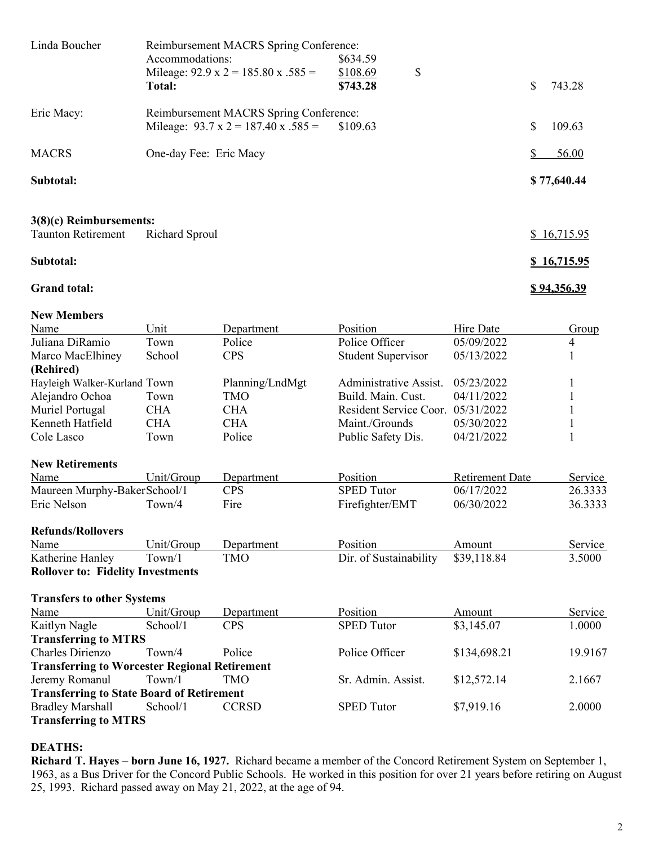| Linda Boucher             | Reimbursement MACRS Spring Conference:          |          |             |
|---------------------------|-------------------------------------------------|----------|-------------|
|                           | Accommodations:                                 | \$634.59 |             |
|                           | Mileage: $92.9 \times 2 = 185.80 \times .585 =$ | \$108.69 | \$          |
|                           | Total:                                          | \$743.28 | S<br>743.28 |
| Eric Macy:                | Reimbursement MACRS Spring Conference:          |          |             |
|                           | Mileage: $93.7 \times 2 = 187.40 \times .585 =$ | \$109.63 | S<br>109.63 |
| <b>MACRS</b>              | One-day Fee: Eric Macy                          |          | 56.00       |
| Subtotal:                 |                                                 |          | \$77,640.44 |
|                           |                                                 |          |             |
| $3(8)(c)$ Reimbursements: |                                                 |          |             |
| <b>Taunton Retirement</b> | Richard Sproul                                  |          | 16,715.95   |
| Subtotal:                 |                                                 |          | \$16,715.95 |

# **Grand total: \$ 94,356.39**

#### **New Members**

| Name                         | Unit                | Department      | <b>Position</b>              | Hire Date              | Group   |
|------------------------------|---------------------|-----------------|------------------------------|------------------------|---------|
| Juliana DiRamio              | Town                | Police          | Police Officer<br>05/09/2022 |                        | 4       |
| Marco MacElhiney             | School              | <b>CPS</b>      | <b>Student Supervisor</b>    | 05/13/2022             |         |
| (Rehired)                    |                     |                 |                              |                        |         |
| Hayleigh Walker-Kurland Town |                     | Planning/LndMgt | Administrative Assist.       | 05/23/2022             |         |
| Alejandro Ochoa              | Town                | TMO             | Build. Main. Cust.           | 04/11/2022             |         |
| Muriel Portugal              | <b>CHA</b>          | <b>CHA</b>      | Resident Service Coor.       | 05/31/2022             |         |
| Kenneth Hatfield             | <b>CHA</b>          | <b>CHA</b>      | Maint./Grounds               | 05/30/2022             |         |
| Cole Lasco                   | Town                | Police          | Public Safety Dis.           | 04/21/2022             |         |
| <b>New Retirements</b>       |                     |                 |                              |                        |         |
| Name                         | Unit/Group          | Department      | <b>Position</b>              | <b>Retirement Date</b> | Service |
| Maureen Murphy-BakerSchool/1 |                     | <b>CPS</b>      | <b>SPED</b> Tutor            | 06/17/2022             | 26.3333 |
| Eric Nelson                  | T <sub>own</sub> /4 | Fire            | Firefighter/EMT              | 06/30/2022             | 36.3333 |
| <b>Refunds/Rollovers</b>     |                     |                 |                              |                        |         |
| Name                         | Unit/Group          | Department      | Position                     | Amount                 | Service |
| Katherine Hanley             | Town/1              | <b>TMO</b>      | Dir. of Sustainability       | \$39,118.84            | 3.5000  |

**Rollover to: Fidelity Investments**

| <b>Transfers to other Systems</b>                    |                     |              |                    |              |         |  |
|------------------------------------------------------|---------------------|--------------|--------------------|--------------|---------|--|
| Name                                                 | Unit/Group          | Department   | Position           | Amount       | Service |  |
| Kaitlyn Nagle                                        | School/1            | <b>CPS</b>   | <b>SPED Tutor</b>  | \$3,145.07   | 1.0000  |  |
| <b>Transferring to MTRS</b>                          |                     |              |                    |              |         |  |
| Charles Dirienzo                                     | T <sub>own</sub> /4 | Police       | Police Officer     | \$134,698.21 | 19.9167 |  |
| <b>Transferring to Worcester Regional Retirement</b> |                     |              |                    |              |         |  |
| Jeremy Romanul                                       | Town/1              | TMO          | Sr. Admin. Assist. | \$12,572.14  | 2.1667  |  |
| <b>Transferring to State Board of Retirement</b>     |                     |              |                    |              |         |  |
| <b>Bradley Marshall</b>                              | School/1            | <b>CCRSD</b> | <b>SPED</b> Tutor  | \$7,919.16   | 2.0000  |  |
| <b>Transferring to MTRS</b>                          |                     |              |                    |              |         |  |

## **DEATHS:**

**Richard T. Hayes – born June 16, 1927.** Richard became a member of the Concord Retirement System on September 1, 1963, as a Bus Driver for the Concord Public Schools. He worked in this position for over 21 years before retiring on August 25, 1993. Richard passed away on May 21, 2022, at the age of 94.